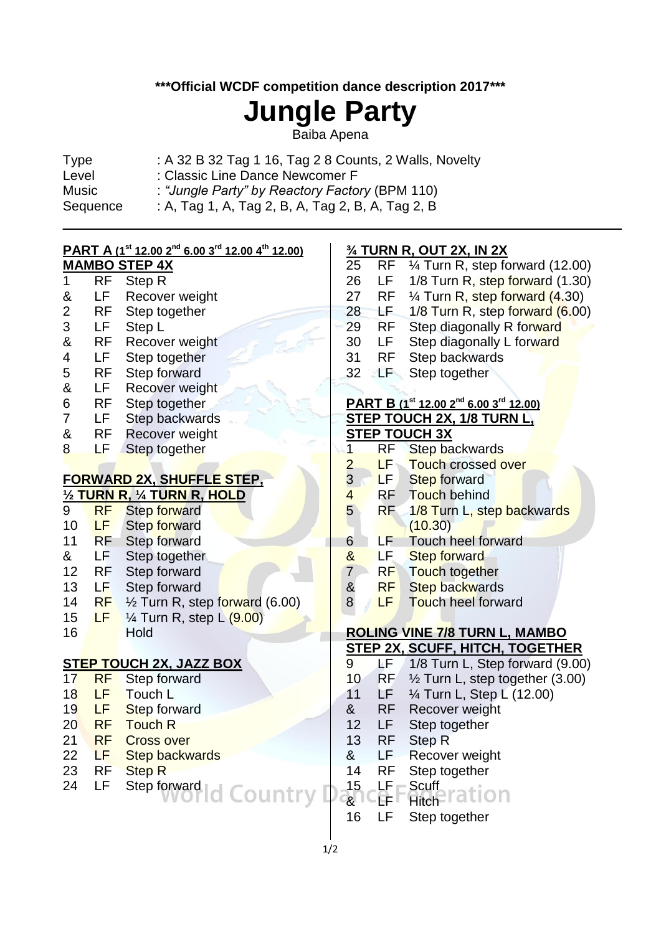## **\*\*\*Official WCDF competition dance description 2017\*\*\***

# **Jungle Party**

Baiba Apena

| Type     | : A 32 B 32 Tag 1 16, Tag 2 8 Counts, 2 Walls, Novelty |
|----------|--------------------------------------------------------|
| Level    | : Classic Line Dance Newcomer F                        |
| Music    | : "Jungle Party" by Reactory Factory (BPM 110)         |
| Sequence | : A, Tag 1, A, Tag 2, B, A, Tag 2, B, A, Tag 2, B      |

# **PART A (1st 12.00 2nd 6.00 3 rd 12.00 4 th 12.00)**

# **MAMBO STEP 4X** 1 RF Step R

- & LF Recover weight
- 2 RF Step together
- 3 LF Step L
- & RF Recover weight
- 4 LF Step together
- 5 RF Step forward
- & LF Recover weight
- 6 RF Step together
- 7 LF Step backwards
- & RF Recover weight
- 8 LF Step together

#### **FORWARD 2X, SHUFFLE STEP, ½ TURN R, ¼ TURN R, HOLD**

|    |           | 72 <u>I UNIV IN, 74 I UNIV IN, I IULD</u> |
|----|-----------|-------------------------------------------|
| 9  | <b>RF</b> | <b>Step forward</b>                       |
| 10 | LF.       | Step forward                              |
| 11 | <b>RF</b> | <b>Step forward</b>                       |
| &  | LF        | Step together                             |
| 12 | RF        | Step forward                              |
| 13 | LF        | Step forward                              |
| 14 | <b>RF</b> | 1/2 Turn R, step forward (6.00)           |
| 15 | LF        | $\frac{1}{4}$ Turn R, step L $(9.00)$     |
| 16 |           | Hold                                      |

### **STEP TOUCH 2X, JAZZ BOX**

- 17 RF Step forward 18 LF Touch L 19 LF Step forward 20 RF Touch R 21 RF Cross over 22 LF Step backwards
- 23 RF Step R
- 24 LF Step forward | country

### **¾ TURN R, OUT 2X, IN 2X**

| 25<br>26<br>27<br>28 | RF<br>LF<br>RF<br>ьE, | 1⁄4 Turn R, step forward (12.00)<br>1/8 Turn R, step forward (1.30)<br>1/4 Turn R, step forward (4.30)<br>1/8 Turn R, step forward (6.00) |
|----------------------|-----------------------|-------------------------------------------------------------------------------------------------------------------------------------------|
| 29                   | RF                    | Step diagonally R forward                                                                                                                 |
| 30                   | LF                    | Step diagonally L forward                                                                                                                 |
| 31                   | RF                    | <b>Step backwards</b>                                                                                                                     |
| 32                   | ĽF                    | Step together                                                                                                                             |
|                      |                       |                                                                                                                                           |
|                      |                       | PART B (1st 12.00 2 <sup>nd</sup> 6.00 3 <sup>rd</sup> 12.00)                                                                             |
|                      |                       | STEP TOUCH 2X, 1/8 TURN L,                                                                                                                |
|                      |                       | <b>STEP TOUCH 3X</b>                                                                                                                      |
| $\overline{1}$       | RF                    | <b>Step backwards</b>                                                                                                                     |
| $\frac{2}{3}$        | LF                    | Touch crossed over                                                                                                                        |
|                      | LF.                   | <b>Step forward</b>                                                                                                                       |
| $\overline{4}$       | RF                    | Touch behind                                                                                                                              |
| 5                    | RF                    | 1/8 Turn L, step backwards                                                                                                                |
|                      |                       | (10.30)                                                                                                                                   |
| 6                    | LF                    | <b>Touch heel forward</b>                                                                                                                 |
| &                    | LF                    | <b>Step forward</b>                                                                                                                       |
| $\overline{7}$       | RF                    | Touch together                                                                                                                            |
| &                    | RF                    | <b>Step backwards</b>                                                                                                                     |
| 8                    | LF                    | Touch heel forward                                                                                                                        |
|                      |                       |                                                                                                                                           |
|                      |                       | <b>ROLING VINE 7/8 TURN L, MAMBO</b>                                                                                                      |
|                      |                       | <b>STEP 2X, SCUFF, HITCH, TOGETHER</b>                                                                                                    |
| 9                    | ΔF                    | 1/8 Turn L, Step forward (9.00)                                                                                                           |
| 10                   | <b>RF</b>             | 1/2 Turn L, step together (3.00)                                                                                                          |
| 11                   | LF                    | 1/4 Turn L, Step L (12.00)                                                                                                                |
| &                    | RF                    | <b>Recover weight</b>                                                                                                                     |
| 12                   | LF                    | Step together                                                                                                                             |
| 13                   | <b>RF</b>             | <b>Step R</b>                                                                                                                             |
| &                    | LF                    | Recover weight                                                                                                                            |
| 14                   | <b>RF</b>             | Step together                                                                                                                             |
| 15                   | LF                    | <b>Scuff</b>                                                                                                                              |
| &                    |                       | Hitch                                                                                                                                     |
| 16                   | l F                   | Step together                                                                                                                             |
|                      |                       |                                                                                                                                           |